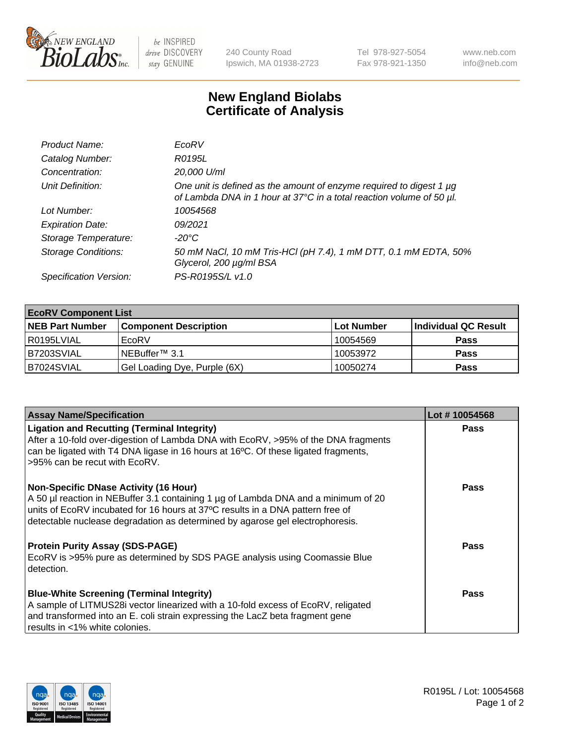

 $be$  INSPIRED drive DISCOVERY stay GENUINE

240 County Road Ipswich, MA 01938-2723 Tel 978-927-5054 Fax 978-921-1350 www.neb.com info@neb.com

## **New England Biolabs Certificate of Analysis**

| Product Name:              | EcoRV                                                                                                                                       |
|----------------------------|---------------------------------------------------------------------------------------------------------------------------------------------|
| Catalog Number:            | R0195L                                                                                                                                      |
| Concentration:             | 20,000 U/ml                                                                                                                                 |
| Unit Definition:           | One unit is defined as the amount of enzyme required to digest 1 µg<br>of Lambda DNA in 1 hour at 37°C in a total reaction volume of 50 µl. |
| Lot Number:                | 10054568                                                                                                                                    |
| <b>Expiration Date:</b>    | 09/2021                                                                                                                                     |
| Storage Temperature:       | -20°C                                                                                                                                       |
| <b>Storage Conditions:</b> | 50 mM NaCl, 10 mM Tris-HCl (pH 7.4), 1 mM DTT, 0.1 mM EDTA, 50%<br>Glycerol, 200 µg/ml BSA                                                  |
| Specification Version:     | PS-R0195S/L v1.0                                                                                                                            |

| <b>EcoRV Component List</b> |                              |            |                      |  |  |
|-----------------------------|------------------------------|------------|----------------------|--|--|
| <b>NEB Part Number</b>      | <b>Component Description</b> | Lot Number | Individual QC Result |  |  |
| R0195LVIAL                  | EcoRV                        | 10054569   | <b>Pass</b>          |  |  |
| B7203SVIAL                  | NEBuffer <sup>™</sup> 3.1    | 10053972   | <b>Pass</b>          |  |  |
| B7024SVIAL                  | Gel Loading Dye, Purple (6X) | 10050274   | <b>Pass</b>          |  |  |

| <b>Assay Name/Specification</b>                                                                                                                                                                                                                                                                       | Lot #10054568 |
|-------------------------------------------------------------------------------------------------------------------------------------------------------------------------------------------------------------------------------------------------------------------------------------------------------|---------------|
| <b>Ligation and Recutting (Terminal Integrity)</b><br>After a 10-fold over-digestion of Lambda DNA with EcoRV, >95% of the DNA fragments<br>can be ligated with T4 DNA ligase in 16 hours at 16 $\degree$ C. Of these ligated fragments,                                                              | <b>Pass</b>   |
| l >95% can be recut with EcoRV.                                                                                                                                                                                                                                                                       |               |
| <b>Non-Specific DNase Activity (16 Hour)</b><br>A 50 µl reaction in NEBuffer 3.1 containing 1 µg of Lambda DNA and a minimum of 20<br>units of EcoRV incubated for 16 hours at 37°C results in a DNA pattern free of<br>detectable nuclease degradation as determined by agarose gel electrophoresis. | <b>Pass</b>   |
| <b>Protein Purity Assay (SDS-PAGE)</b><br>EcoRV is >95% pure as determined by SDS PAGE analysis using Coomassie Blue<br>detection.                                                                                                                                                                    | Pass          |
| <b>Blue-White Screening (Terminal Integrity)</b>                                                                                                                                                                                                                                                      | <b>Pass</b>   |
| A sample of LITMUS28i vector linearized with a 10-fold excess of EcoRV, religated                                                                                                                                                                                                                     |               |
| and transformed into an E. coli strain expressing the LacZ beta fragment gene<br>results in <1% white colonies.                                                                                                                                                                                       |               |